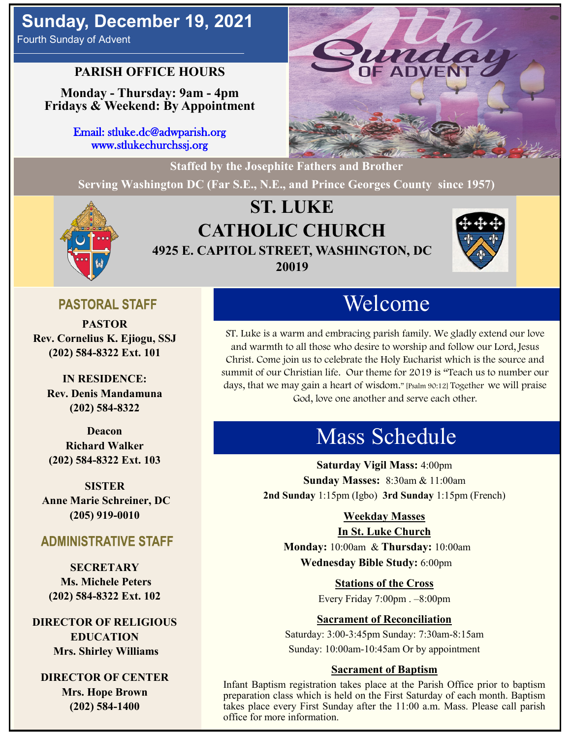# **Sunday, December 19, 2021**

Fourth Sunday of Advent

### **PARISH OFFICE HOURS**

**Monday - Thursday: 9am - 4pm Fridays & Weekend: By Appointment**

> Email: stluke.dc@adwparish.org www.stlukechurchssj.org



**Serving Washington DC (Far S.E., N.E., and Prince Georges County since 1957)**



## **ST. LUKE CATHOLIC CHURCH 4925 E. CAPITOL STREET, WASHINGTON, DC 20019**



## **PASTORAL STAFF**

**PASTOR Rev. Cornelius K. Ejiogu, SSJ (202) 584-8322 Ext. 101**

**IN RESIDENCE: Rev. Denis Mandamuna (202) 584-8322** 

**Deacon Richard Walker (202) 584-8322 Ext. 103**

**SISTER Anne Marie Schreiner, DC (205) 919-0010**

#### **ADMINISTRATIVE STAFF**

**SECRETARY Ms. Michele Peters (202) 584-8322 Ext. 102**

**DIRECTOR OF RELIGIOUS EDUCATION Mrs. Shirley Williams**

**DIRECTOR OF CENTER Mrs. Hope Brown (202) 584-1400**

# Welcome

ST. Luke is a warm and embracing parish family. We gladly extend our love and warmth to all those who desire to worship and follow our Lord, Jesus Christ. Come join us to celebrate the Holy Eucharist which is the source and summit of our Christian life. Our theme for 2019 is "Teach us to number our days, that we may gain a heart of wisdom." [Psalm 90:12] Together we will praise God, love one another and serve each other.

# Mass Schedule

**Saturday Vigil Mass:** 4:00pm **Sunday Masses:** 8:30am & 11:00am **2nd Sunday** 1:15pm (Igbo) **3rd Sunday** 1:15pm (French)

#### **Weekday Masses**

#### **In St. Luke Church**

**Monday:** 10:00am & **Thursday:** 10:00am **Wednesday Bible Study:** 6:00pm

> **Stations of the Cross** Every Friday 7:00pm . –8:00pm

#### **Sacrament of Reconciliation**

Saturday: 3:00-3:45pm Sunday: 7:30am-8:15am Sunday: 10:00am-10:45am Or by appointment

#### **Sacrament of Baptism**

Infant Baptism registration takes place at the Parish Office prior to baptism preparation class which is held on the First Saturday of each month. Baptism takes place every First Sunday after the 11:00 a.m. Mass. Please call parish office for more information.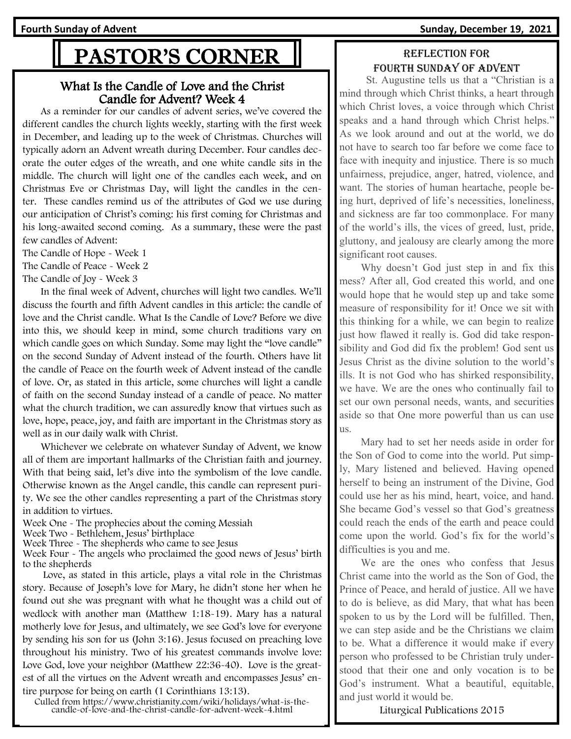**Fourth Sunday of Advent Sunday, December 19, 2021**

# PASTOR'S CORNER

#### What Is the Candle of Love and the Christ Candle for Advent? Week 4

 As a reminder for our candles of advent series, we've covered the different candles the church lights weekly, starting with the first week in December, and leading up to the week of Christmas. Churches will typically adorn an [Advent wreath](https://www.christianity.com/wiki/holidays/advent-wreath-meaning-of-advent-candles.html) during December. Four candles decorate the outer edges of the wreath, and one white candle sits in the middle. The church will light one of the candles each week, and on Christmas Eve or Christmas Day, will light the candles in the center. These candles remind us of the attributes of God we use during our anticipation of Christ's coming: his first coming for Christmas and his long-awaited second coming. As a summary, these were the past few candles of Advent:

[The Candle of Hope -](https://www.christianity.com/wiki/holidays/what-is-the-candle-of-hope-for-advent-week-1.html) Week 1

[The Candle of Peace -](https://www.christianity.com/wiki/holidays/what-is-the-candle-of-peace-for-advent-week-2.html) Week 2

[The Candle of Joy -](https://www.christianity.com/wiki/holidays/what-is-the-candle-of-joy-for-advent-week-3.html) Week 3

 In the final week of Advent, churches will light two candles. We'll discuss the fourth and fifth Advent candles in this article: the candle of love and the Christ candle. What Is the Candle of Love? Before we dive into this, we should keep in mind, some church traditions vary on which candle goes on which Sunday. Some may light the "love candle" on the second Sunday of Advent instead of the fourth. Others have lit the candle of Peace on the fourth week of Advent instead of the candle of love. Or, as stated in [this article,](https://www.crosswalk.com/special-coverage/christmas-and-advent/advent-wreath-candles-understanding-the-meaning-history-tradition.html) some churches will light a candle of faith on the second Sunday instead of a candle of peace. No matter what the church tradition, we can assuredly know that virtues such as love, hope, peace, joy, and faith are important in the Christmas story as well as in our daily walk with Christ.

 Whichever we celebrate on whatever Sunday of Advent, we know all of them are important hallmarks of the Christian faith and journey. With that being said, let's dive into the symbolism of the love candle. Otherwise known as the Angel candle, this candle can represent purity. We see the other candles representing a part of the Christmas story in addition to virtues.

Week One - The [prophecies](https://www.christianity.com/wiki/christian-terms/what-is-prophecy-meaning-of-prophesy.html) about the coming Messiah

Week Two - Bethlehem, Jesus' birthplace

Week Three - The shepherds who came to see Jesus

Week Four - The angels who proclaimed the good news of Jesus' birth to the shepherds

 Love, as [stated in this article,](http://www.rayfowler.org/sermons/five-candles-at-christmas/advent-candle-of-love/) plays a vital role in the Christmas story. Because of Joseph's love for Mary, he didn't stone her when he found out she was pregnant with what he thought was a child out of wedlock with another man ([Matthew 1:18-19\)](http://www.christianity.com/bible/search/?ver=niv&q=matthew+1%3a18-19). Mary has a natural motherly love for Jesus, and ultimately, we see God's love for everyone by sending his son for us [\(John 3:16\)](http://www.christianity.com/bible/search/?ver=niv&q=john+3:16). Jesus focused on preaching love throughout his ministry. Two of his greatest commands involve love: Love God, love your neighbor [\(Matthew 22:36-40\)](http://www.christianity.com/bible/search/?ver=niv&q=matthew+22%3a36-40). Love is the greatest of all the virtues on the Advent wreath and encompasses Jesus' entire purpose for being on earth ([1 Corinthians 13:13\)](http://www.christianity.com/bible/search/?ver=niv&q=1+corinthians+13:13).

Culled from https://www.christianity.com/wiki/holidays/what-is-thecandle-of-love-and-the-christ-candle-for-advent-week-4.html

#### Reflection for fourth Sunday of advent

 St. Augustine tells us that a "Christian is a mind through which Christ thinks, a heart through which Christ loves, a voice through which Christ speaks and a hand through which Christ helps." As we look around and out at the world, we do not have to search too far before we come face to face with inequity and injustice. There is so much unfairness, prejudice, anger, hatred, violence, and want. The stories of human heartache, people being hurt, deprived of life's necessities, loneliness, and sickness are far too commonplace. For many of the world's ills, the vices of greed, lust, pride, gluttony, and jealousy are clearly among the more significant root causes.

 Why doesn't God just step in and fix this mess? After all, God created this world, and one would hope that he would step up and take some measure of responsibility for it! Once we sit with this thinking for a while, we can begin to realize just how flawed it really is. God did take responsibility and God did fix the problem! God sent us Jesus Christ as the divine solution to the world's ills. It is not God who has shirked responsibility, we have. We are the ones who continually fail to set our own personal needs, wants, and securities aside so that One more powerful than us can use us.

 Mary had to set her needs aside in order for the Son of God to come into the world. Put simply, Mary listened and believed. Having opened herself to being an instrument of the Divine, God could use her as his mind, heart, voice, and hand. She became God's vessel so that God's greatness could reach the ends of the earth and peace could come upon the world. God's fix for the world's difficulties is you and me.

 We are the ones who confess that Jesus Christ came into the world as the Son of God, the Prince of Peace, and herald of justice. All we have to do is believe, as did Mary, that what has been spoken to us by the Lord will be fulfilled. Then, we can step aside and be the Christians we claim to be. What a difference it would make if every person who professed to be Christian truly understood that their one and only vocation is to be God's instrument. What a beautiful, equitable, and just world it would be.

Liturgical Publications 2015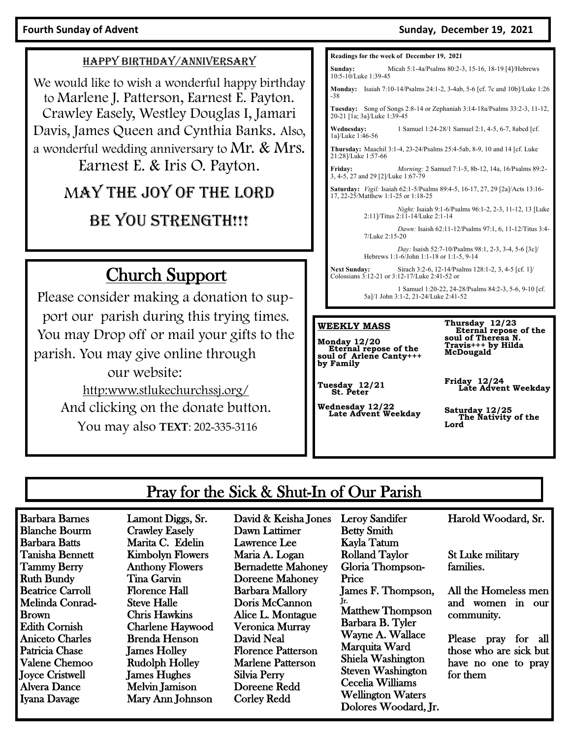#### Fourth Sunday of Advent **Sunday of Advent** Sunday, December 19, 2021

#### HAPPY BIRTHDAY/ANNIVERSARY

We would like to wish a wonderful happy birthday to Marlene J. Patterson, Earnest E. Payton. Crawley Easely, Westley Douglas I, Jamari Davis, James Queen and Cynthia Banks. Also, a wonderful wedding anniversary to Mr. & Mrs. Earnest E. & Iris O. Payton.

## MAY THE JOY OF THE LORD

## BE YOU STRENGTH!!!

# Church Support

Please consider making a donation to support our parish during this trying times. You may Drop off or mail your gifts to the parish. You may give online through our website: [http:www.stlukechurchssj.org/](http://www.stlukechurchssj.org/) And clicking on the donate button.

You may also **TEXT**: 202-335-3116

| Readings for the week of December 19, 2021                                                                          |                                                                                                      |
|---------------------------------------------------------------------------------------------------------------------|------------------------------------------------------------------------------------------------------|
| Sunday:<br>10:5-10/Luke 1:39-45                                                                                     | Micah 5:1-4a/Psalms 80:2-3, 15-16, 18-19 [4]/Hebrews                                                 |
| <b>Monday:</b><br>-38                                                                                               | Isaiah 7:10-14/Psalms 24:1-2, 3-4ab, 5-6 [cf. 7c and 10b]/Luke 1:26                                  |
| 20-21 [1a; 3a]/Luke 1:39-45                                                                                         | <b>Tuesday:</b> Song of Songs $2:8-14$ or Zephaniah $3:14-18a/Psalms$ $33:2-3$ , $11-12$ ,           |
| Wednesday:<br>1a]/Luke 1:46-56                                                                                      | 1 Samuel 1:24-28/1 Samuel 2:1, 4-5, 6-7, 8abcd [cf.                                                  |
| 21:28]/Luke 1:57-66                                                                                                 | Thursday: Maachil 3:1-4, 23-24/Psalms 25:4-5ab, 8-9, 10 and 14 [cf. Luke]                            |
| Friday:<br>3, 4-5, 27 and 29 [2]/Luke 1:67-79                                                                       | <i>Morning: 2 Samuel 7:1-5, 8b-12, 14a, 16/Psalms 89:2-</i>                                          |
| Saturday: Vigil: Isaiah 62:1-5/Psalms 89:4-5, 16-17, 27, 29 [2a]/Acts 13:16-<br>17, 22-25/Matthew 1:1-25 or 1:18-25 |                                                                                                      |
|                                                                                                                     | Night: Isaiah 9:1-6/Psalms 96:1-2, 2-3, 11-12, 13 [Luke<br>2:11]/Titus 2:11-14/Luke 2:1-14           |
| 7/Luke 2:15-20                                                                                                      | Dawn: Isaish 62:11-12/Psalms 97:1, 6, 11-12/Titus 3:4-                                               |
|                                                                                                                     | Day: Isaish 52:7-10/Psalms 98:1, 2-3, 3-4, 5-6 [3c]/<br>Hebrews 1:1-6/John 1:1-18 or 1:1-5, 9-14     |
| <b>Next Sunday:</b>                                                                                                 | Sirach 3:2-6, 12-14/Psalms 128:1-2, 3, 4-5 [cf. 1]/<br>Colossians 3:12-21 or 3:12-17/Luke 2:41-52 or |
|                                                                                                                     | 1 Samuel 1:20-22, 24-28/Psalms 84:2-3, 5-6, 9-10 [cf.<br>5a]/1 John 3:1-2, 21-24/Luke 2:41-52        |
|                                                                                                                     |                                                                                                      |
| WEEKLY MASS<br><b>Monday 12/20</b><br>Fternal renose of the                                                         | Thursday 12/23<br>Eternal repose of the<br>soul of Theresa N.<br>Travis+++ by Hilda                  |

**Monday 12/20 Eternal repose of the soul of Arlene Canty+++ by Family**

**Friday 12/24 Late Advent Weekday**

**McDougald**

**Tuesday 12/21 St. Peter**

**Wednesday 12/22 Late Advent Weekday**

Leroy Sandifer

**Saturday 12/25 The Nativity of the Lord**

## Pray for the Sick & Shut-In of Our Parish

Barbara Barnes Blanche Bourm Barbara Batts Tanisha Bennett Tammy Berry Ruth Bundy Beatrice Carroll Melinda Conrad-Brown Edith Cornish Aniceto Charles Patricia Chase Valene Chemoo Joyce Cristwell Alvera Dance Iyana Davage

Lamont Diggs, Sr. Crawley Easely Marita C. Edelin Kimbolyn Flowers Anthony Flowers Tina Garvin Florence Hall Steve Halle Chris Hawkins Charlene Haywood Brenda Henson James Holley Rudolph Holley James Hughes Melvin Jamison Mary Ann Johnson

David & Keisha Jones Dawn Lattimer Lawrence Lee Maria A. Logan Bernadette Mahoney Doreene Mahoney Barbara Mallory Doris McCannon Alice L. Montague Veronica Murray David Neal Florence Patterson Marlene Patterson Silvia Perry Doreene Redd Corley Redd

Betty Smith Kayla Tatum Rolland Taylor Gloria Thompson-Price James F. Thompson, Jr. Matthew Thompson Barbara B. Tyler Wayne A. Wallace Marquita Ward Shiela Washington Steven Washington Cecelia Williams Wellington Waters Dolores Woodard, Jr. Harold Woodard, Sr.

St Luke military families.

All the Homeless men and women in our community.

Please pray for all those who are sick but have no one to pray for them